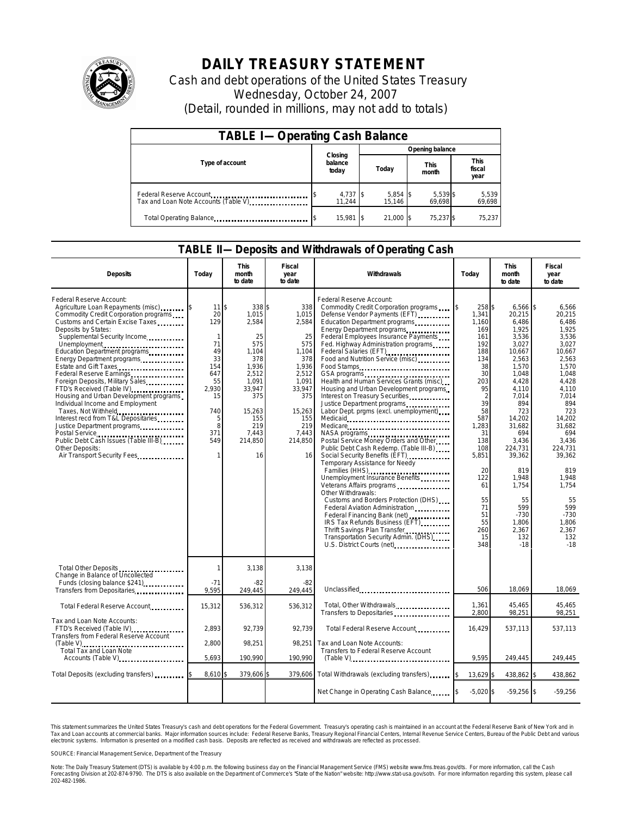

## **DAILY TREASURY STATEMENT**

Cash and debt operations of the United States Treasury Wednesday, October 24, 2007 (Detail, rounded in millions, may not add to totals)

| <b>TABLE I-Operating Cash Balance</b>                           |                             |                      |                      |                               |  |  |  |
|-----------------------------------------------------------------|-----------------------------|----------------------|----------------------|-------------------------------|--|--|--|
|                                                                 |                             | Opening balance      |                      |                               |  |  |  |
| Type of account                                                 | Closing<br>balance<br>today | Today                | <b>This</b><br>month | <b>This</b><br>fiscal<br>year |  |  |  |
| Federal Reserve Account<br>Tax and Loan Note Accounts (Table V) | 4,737 \$<br>11.244          | $5,854$ \$<br>15.146 | 5,539 \$<br>69,698   | 5,539<br>69,698               |  |  |  |
| Total Operating Balance                                         | 15.981                      | 21.000 \$            | 75.237 \$            | 75,237                        |  |  |  |

## **TABLE II—Deposits and Withdrawals of Operating Cash**

| <b>Deposits</b>                                                                                                                                                                                                                                                                                                                                                                                                                                                                                                                                                                                                                                                               | Todav                                                                                                                                    | This<br>month<br>to date                                                                                                                            | Fiscal<br>year<br>to date                                                                                                                        | Withdrawals                                                                                                                                                                                                                                                                                                                                                                                                                                                                                                                                                                                                                                                                                                                                                                                                                                                                                                                                                                                                                                                          | Today                                                                                                                                                                                                             | This<br>month<br>to date                                                                                                                                                                                                                                                          | Fiscal<br>year<br>to date                                                                                                                                                                                                                                                    |
|-------------------------------------------------------------------------------------------------------------------------------------------------------------------------------------------------------------------------------------------------------------------------------------------------------------------------------------------------------------------------------------------------------------------------------------------------------------------------------------------------------------------------------------------------------------------------------------------------------------------------------------------------------------------------------|------------------------------------------------------------------------------------------------------------------------------------------|-----------------------------------------------------------------------------------------------------------------------------------------------------|--------------------------------------------------------------------------------------------------------------------------------------------------|----------------------------------------------------------------------------------------------------------------------------------------------------------------------------------------------------------------------------------------------------------------------------------------------------------------------------------------------------------------------------------------------------------------------------------------------------------------------------------------------------------------------------------------------------------------------------------------------------------------------------------------------------------------------------------------------------------------------------------------------------------------------------------------------------------------------------------------------------------------------------------------------------------------------------------------------------------------------------------------------------------------------------------------------------------------------|-------------------------------------------------------------------------------------------------------------------------------------------------------------------------------------------------------------------|-----------------------------------------------------------------------------------------------------------------------------------------------------------------------------------------------------------------------------------------------------------------------------------|------------------------------------------------------------------------------------------------------------------------------------------------------------------------------------------------------------------------------------------------------------------------------|
| Federal Reserve Account:<br>Agriculture Loan Repayments (misc)<br>Commodity Credit Corporation programs<br>Customs and Certain Excise Taxes<br>Deposits by States:<br>Supplemental Security Income<br>Unemployment<br>Education Department programs<br>Energy Department programs<br>Estate and Gift Taxes<br>Federal Reserve Earnings<br>Foreign Deposits, Military Sales<br>FTD's Received (Table IV)<br>Housing and Urban Development programs<br>Individual Income and Employment<br>Taxes, Not Withheld<br>Interest recd from T&L Depositaries<br>Justice Department programs<br>Public Debt Cash Issues (Table III-B)<br>Other Deposits:<br>Air Transport Security Fees | $11$ $\frac{1}{3}$<br>20<br>129<br>$\mathbf{1}$<br>71<br>49<br>33<br>154<br>647<br>55<br>2,930<br>15<br>740<br>5<br>8<br>371<br>549<br>1 | 338 \$<br>1.015<br>2,584<br>25<br>575<br>1.104<br>378<br>1.936<br>2,512<br>1.091<br>33,947<br>375<br>15.263<br>155<br>219<br>7.443<br>214,850<br>16 | 338<br>1,015<br>2,584<br>25<br>575<br>1.104<br>378<br>1,936<br>2,512<br>1.091<br>33,947<br>375<br>15,263<br>155<br>219<br>7.443<br>214,850<br>16 | Federal Reserve Account:<br>Commodity Credit Corporation programs<br>Defense Vendor Payments (EFT)<br>Education Department programs<br>Energy Department programs<br>Federal Employees Insurance Payments<br>Fed. Highway Administration programs<br>Federal Salaries (EFT)<br>Food and Nutrition Service (misc)<br>Food Stamps<br>GSA programs<br>Health and Human Services Grants (misc)<br>Housing and Urban Development programs<br>Interest on Treasury Securities<br>Labor Dept. prgms (excl. unemployment)<br>Medicare<br>NASA programs<br>Postal Service Money Orders and Other<br>Public Debt Cash Redemp. (Table III-B)<br>Social Security Benefits (EFT)<br>Temporary Assistance for Needy<br>Families (HHS)<br>Unemployment Insurance Benefits<br>Veterans Affairs programs<br>Other Withdrawals:<br>Customs and Borders Protection (DHS)<br>Federal Aviation Administration<br>Federal Financing Bank (net)<br><br>IRS Tax Refunds Business (EFT)<br>Thrift Savings Plan Transfer<br>Transportation Security Admin. (DHS)<br>U.S. District Courts (net) | 258 \$<br>1.341<br>1.160<br>169<br>161<br>192<br>188<br>134<br>38<br>30<br>203<br>95<br>2<br>39<br>58<br>587<br>1,283<br>31<br>138<br>108<br>5,851<br>20<br>122<br>61<br>55<br>71<br>51<br>55<br>260<br>15<br>348 | $6,566$ \$<br>20,215<br>6.486<br>1,925<br>3,536<br>3,027<br>10.667<br>2,563<br>1,570<br>1,048<br>4.428<br>4.110<br>7.014<br>894<br>723<br>14,202<br>31.682<br>694<br>3.436<br>224,731<br>39,362<br>819<br>1,948<br>1,754<br>55<br>599<br>$-730$<br>1.806<br>2,367<br>132<br>$-18$ | 6,566<br>20.215<br>6.486<br>1,925<br>3,536<br>3.027<br>10.667<br>2,563<br>1,570<br>1.048<br>4.428<br>4.110<br>7.014<br>894<br>723<br>14.202<br>31.682<br>694<br>3.436<br>224.731<br>39.362<br>819<br>1.948<br>1.754<br>55<br>599<br>$-730$<br>1.806<br>2,367<br>132<br>$-18$ |
| Total Other Deposits<br>Change in Balance of Uncollected                                                                                                                                                                                                                                                                                                                                                                                                                                                                                                                                                                                                                      | 1                                                                                                                                        | 3,138                                                                                                                                               | 3,138                                                                                                                                            |                                                                                                                                                                                                                                                                                                                                                                                                                                                                                                                                                                                                                                                                                                                                                                                                                                                                                                                                                                                                                                                                      |                                                                                                                                                                                                                   |                                                                                                                                                                                                                                                                                   |                                                                                                                                                                                                                                                                              |
| Funds (closing balance \$241)<br>Transfers from Depositaries                                                                                                                                                                                                                                                                                                                                                                                                                                                                                                                                                                                                                  | $-71$<br>9.595                                                                                                                           | $-82$<br>249.445                                                                                                                                    | $-82$<br>249.445                                                                                                                                 | Unclassified                                                                                                                                                                                                                                                                                                                                                                                                                                                                                                                                                                                                                                                                                                                                                                                                                                                                                                                                                                                                                                                         | 506                                                                                                                                                                                                               | 18,069                                                                                                                                                                                                                                                                            | 18,069                                                                                                                                                                                                                                                                       |
| Total Federal Reserve Account                                                                                                                                                                                                                                                                                                                                                                                                                                                                                                                                                                                                                                                 | 15,312                                                                                                                                   | 536,312                                                                                                                                             | 536,312                                                                                                                                          | Total, Other Withdrawals<br>Transfers to Depositaries                                                                                                                                                                                                                                                                                                                                                                                                                                                                                                                                                                                                                                                                                                                                                                                                                                                                                                                                                                                                                | 1,361<br>2,800                                                                                                                                                                                                    | 45,465<br>98,251                                                                                                                                                                                                                                                                  | 45,465<br>98,251                                                                                                                                                                                                                                                             |
| Tax and Loan Note Accounts:<br>FTD's Received (Table IV)<br>Transfers from Federal Reserve Account                                                                                                                                                                                                                                                                                                                                                                                                                                                                                                                                                                            | 2.893                                                                                                                                    | 92,739                                                                                                                                              | 92,739                                                                                                                                           | Total Federal Reserve Account                                                                                                                                                                                                                                                                                                                                                                                                                                                                                                                                                                                                                                                                                                                                                                                                                                                                                                                                                                                                                                        | 16,429                                                                                                                                                                                                            | 537,113                                                                                                                                                                                                                                                                           | 537,113                                                                                                                                                                                                                                                                      |
| Total Tax and Loan Note<br>Accounts (Table V)                                                                                                                                                                                                                                                                                                                                                                                                                                                                                                                                                                                                                                 | 2.800<br>5,693                                                                                                                           | 98,251<br>190,990                                                                                                                                   | 98,251<br>190,990                                                                                                                                | Tax and Loan Note Accounts:<br>Transfers to Federal Reserve Account<br>$(Table V)$                                                                                                                                                                                                                                                                                                                                                                                                                                                                                                                                                                                                                                                                                                                                                                                                                                                                                                                                                                                   | 9.595                                                                                                                                                                                                             | 249,445                                                                                                                                                                                                                                                                           | 249,445                                                                                                                                                                                                                                                                      |
| Total Deposits (excluding transfers)                                                                                                                                                                                                                                                                                                                                                                                                                                                                                                                                                                                                                                          | 8,610                                                                                                                                    | 379,606                                                                                                                                             | 379,606                                                                                                                                          | Total Withdrawals (excluding transfers)                                                                                                                                                                                                                                                                                                                                                                                                                                                                                                                                                                                                                                                                                                                                                                                                                                                                                                                                                                                                                              | 13,629 \$                                                                                                                                                                                                         | 438,862 \$                                                                                                                                                                                                                                                                        | 438.862                                                                                                                                                                                                                                                                      |
|                                                                                                                                                                                                                                                                                                                                                                                                                                                                                                                                                                                                                                                                               |                                                                                                                                          |                                                                                                                                                     |                                                                                                                                                  | Net Change in Operating Cash Balance                                                                                                                                                                                                                                                                                                                                                                                                                                                                                                                                                                                                                                                                                                                                                                                                                                                                                                                                                                                                                                 | $-5,020$ \$                                                                                                                                                                                                       | $-59,256$ \$                                                                                                                                                                                                                                                                      | $-59,256$                                                                                                                                                                                                                                                                    |

This statement summarizes the United States Treasury's cash and debt operations for the Federal Government. Treasury's operating cash is maintained in an account at the Federal Reserve Bank of New York and in<br>Tax and Loan narizes the United States Treasury's cash and debt operations for the Federal Government. Treasury's operating cash is maintained in an account at the F<br>ints at commercial banks. Major information sources include: Federal

SOURCE: Financial Management Service, Department of the Treasury

Note: The Daily Treasury Statement (DTS) is available by 4:00 p.m. the following business day on the Financial Management Service (FMS) website www.fms.treas.gov/dts. For more information, call the Cash<br>Forecasting Divisio 202-482-1986.